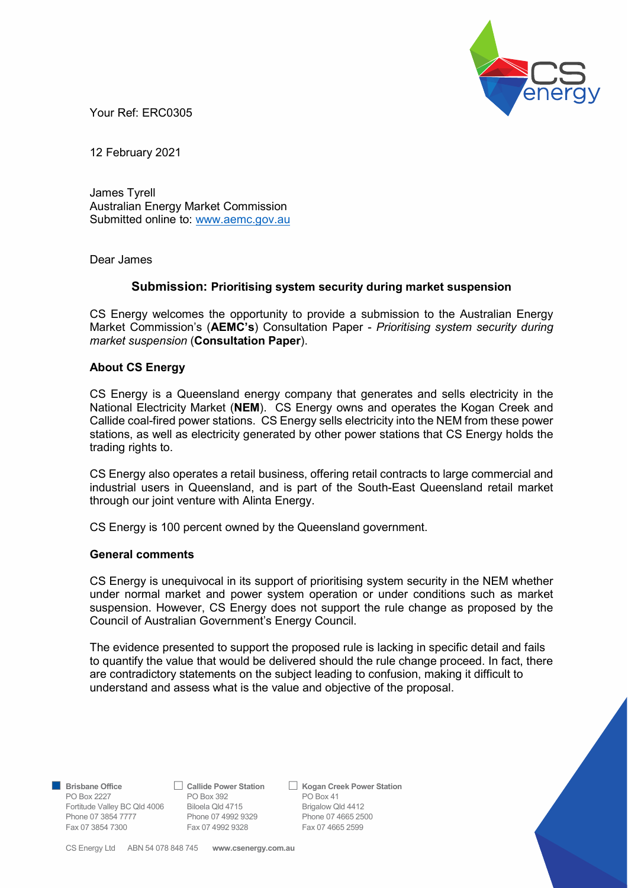

Your Ref: ERC0305

12 February 2021

James Tyrell Australian Energy Market Commission Submitted online to: www.aemc.gov.au

Dear James

## Submission: Prioritising system security during market suspension

CS Energy welcomes the opportunity to provide a submission to the Australian Energy Market Commission's (AEMC's) Consultation Paper - Prioritising system security during market suspension (Consultation Paper).

## About CS Energy

CS Energy is a Queensland energy company that generates and sells electricity in the National Electricity Market (NEM). CS Energy owns and operates the Kogan Creek and Callide coal-fired power stations. CS Energy sells electricity into the NEM from these power stations, as well as electricity generated by other power stations that CS Energy holds the trading rights to.

CS Energy also operates a retail business, offering retail contracts to large commercial and industrial users in Queensland, and is part of the South-East Queensland retail market through our joint venture with Alinta Energy.

CS Energy is 100 percent owned by the Queensland government.

## General comments

CS Energy is unequivocal in its support of prioritising system security in the NEM whether under normal market and power system operation or under conditions such as market suspension. However, CS Energy does not support the rule change as proposed by the Council of Australian Government's Energy Council.

The evidence presented to support the proposed rule is lacking in specific detail and fails to quantify the value that would be delivered should the rule change proceed. In fact, there are contradictory statements on the subject leading to confusion, making it difficult to understand and assess what is the value and objective of the proposal.

PO Box 2227 **PO Box 392** PO Box 41 Fortitude Valley BC Qld 4006 Biloela Qld 4715 Brigalow Qld 4412 Phone 07 3854 7777 Phone 07 4992 9329 Phone 07 4665 2500<br>
Fax 07 3854 7300 Fax 07 4992 9328 Fax 07 4665 2599 Fax 07 3854 7300 Fax 07 4992 9328

Brisbane Office 
△ Callide Power Station △ Kogan Creek Power Station

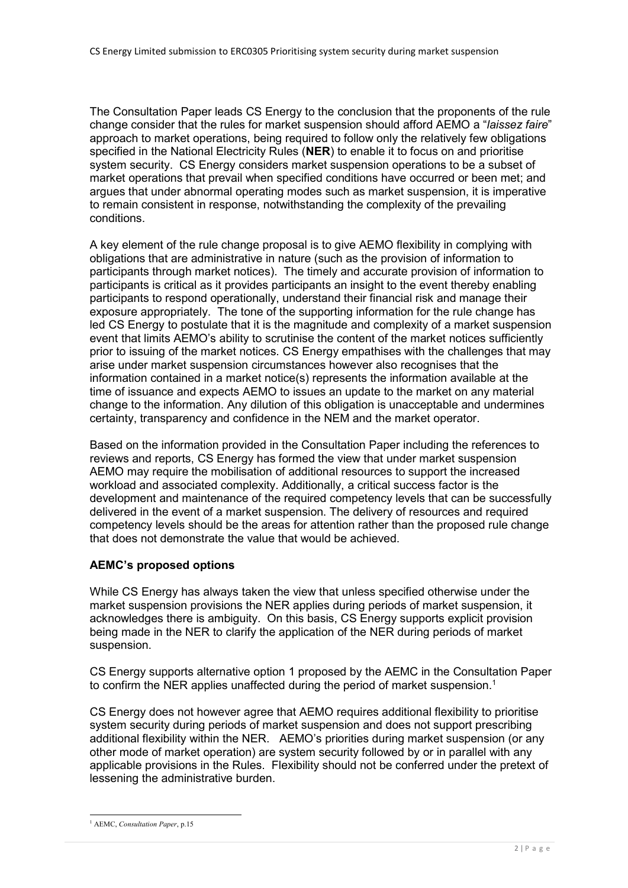The Consultation Paper leads CS Energy to the conclusion that the proponents of the rule change consider that the rules for market suspension should afford AEMO a "laissez faire" approach to market operations, being required to follow only the relatively few obligations specified in the National Electricity Rules (NER) to enable it to focus on and prioritise system security. CS Energy considers market suspension operations to be a subset of market operations that prevail when specified conditions have occurred or been met; and argues that under abnormal operating modes such as market suspension, it is imperative to remain consistent in response, notwithstanding the complexity of the prevailing conditions.

A key element of the rule change proposal is to give AEMO flexibility in complying with obligations that are administrative in nature (such as the provision of information to participants through market notices). The timely and accurate provision of information to participants is critical as it provides participants an insight to the event thereby enabling participants to respond operationally, understand their financial risk and manage their exposure appropriately. The tone of the supporting information for the rule change has led CS Energy to postulate that it is the magnitude and complexity of a market suspension event that limits AEMO's ability to scrutinise the content of the market notices sufficiently prior to issuing of the market notices. CS Energy empathises with the challenges that may arise under market suspension circumstances however also recognises that the information contained in a market notice(s) represents the information available at the time of issuance and expects AEMO to issues an update to the market on any material change to the information. Any dilution of this obligation is unacceptable and undermines certainty, transparency and confidence in the NEM and the market operator.

Based on the information provided in the Consultation Paper including the references to reviews and reports, CS Energy has formed the view that under market suspension AEMO may require the mobilisation of additional resources to support the increased workload and associated complexity. Additionally, a critical success factor is the development and maintenance of the required competency levels that can be successfully delivered in the event of a market suspension. The delivery of resources and required competency levels should be the areas for attention rather than the proposed rule change that does not demonstrate the value that would be achieved.

## AEMC's proposed options

While CS Energy has always taken the view that unless specified otherwise under the market suspension provisions the NER applies during periods of market suspension, it acknowledges there is ambiguity. On this basis, CS Energy supports explicit provision being made in the NER to clarify the application of the NER during periods of market suspension.

CS Energy supports alternative option 1 proposed by the AEMC in the Consultation Paper to confirm the NER applies unaffected during the period of market suspension.<sup>1</sup>

CS Energy does not however agree that AEMO requires additional flexibility to prioritise system security during periods of market suspension and does not support prescribing additional flexibility within the NER. AEMO's priorities during market suspension (or any other mode of market operation) are system security followed by or in parallel with any applicable provisions in the Rules. Flexibility should not be conferred under the pretext of lessening the administrative burden.

 1 AEMC, Consultation Paper, p.15